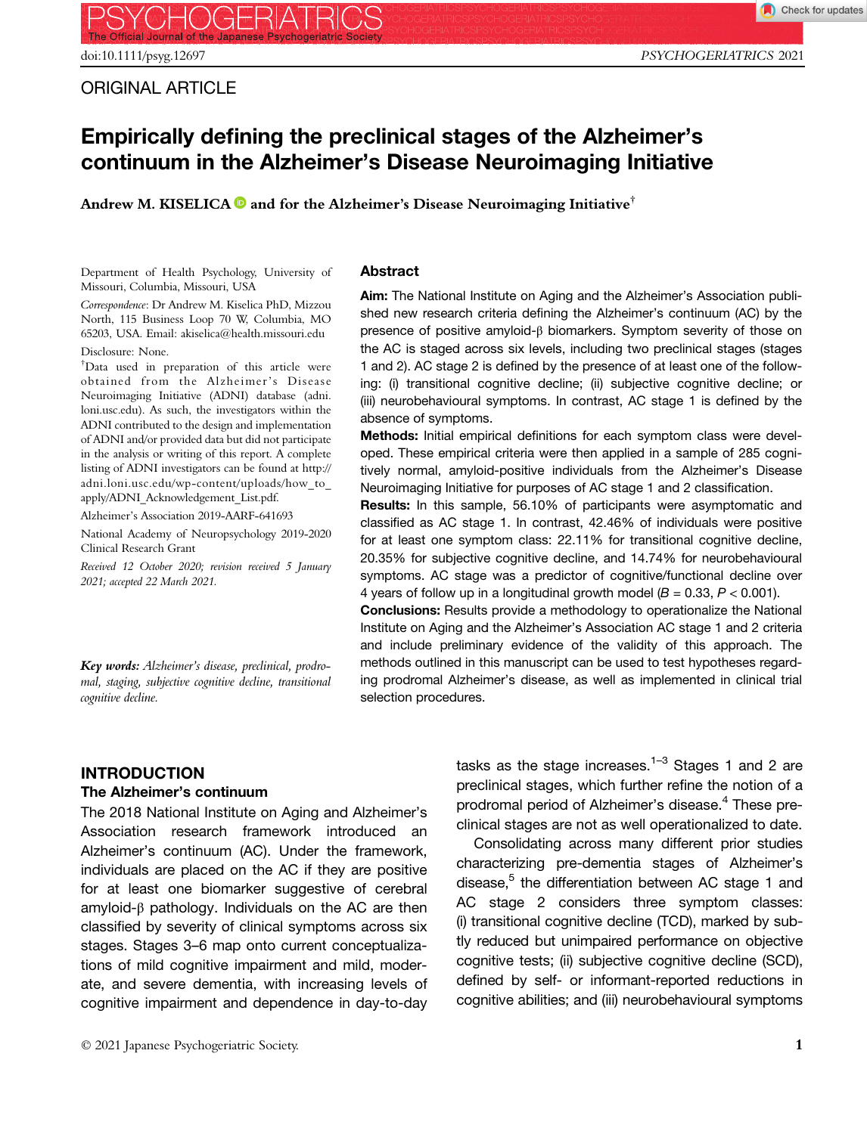# Empirically defining the preclinical stages of the Alzheimer's continuum in the Alzheimer's Disease Neuroimaging Initiative

Andrew M. KISELICA  $\bullet$  and for the Alzheimer's Disease Neuroimaging Initiative<sup>†</sup>

Department of Health Psychology, University of Missouri, Columbia, Missouri, USA

Correspondence: Dr Andrew M. Kiselica PhD, Mizzou North, 115 Business Loop 70 W, Columbia, MO 65203, USA. Email: akiselica@health.missouri.edu Disclosure: None.

† Data used in preparation of this article were obtained from the Alzheimer's Disease Neuroimaging Initiative (ADNI) database (adni. loni.usc.edu). As such, the investigators within the ADNI contributed to the design and implementation of ADNI and/or provided data but did not participate in the analysis or writing of this report. A complete listing of ADNI investigators can be found at [http://](http://adni.loni.usc.edu/wp-content/uploads/how_to_apply/ADNI_Acknowledgement_List.pdf) [adni.loni.usc.edu/wp-content/uploads/how\\_to\\_](http://adni.loni.usc.edu/wp-content/uploads/how_to_apply/ADNI_Acknowledgement_List.pdf) [apply/ADNI\\_Acknowledgement\\_List.pdf.](http://adni.loni.usc.edu/wp-content/uploads/how_to_apply/ADNI_Acknowledgement_List.pdf)

Alzheimer's Association 2019-AARF-641693

National Academy of Neuropsychology 2019-2020 Clinical Research Grant

Received 12 October 2020; revision received 5 January 2021; accepted 22 March 2021.

Key words: Alzheimer's disease, preclinical, prodromal, staging, subjective cognitive decline, transitional cognitive decline.

#### Abstract

Aim: The National Institute on Aging and the Alzheimer's Association published new research criteria defining the Alzheimer's continuum (AC) by the presence of positive amyloid-β biomarkers. Symptom severity of those on the AC is staged across six levels, including two preclinical stages (stages 1 and 2). AC stage 2 is defined by the presence of at least one of the following: (i) transitional cognitive decline; (ii) subjective cognitive decline; or (iii) neurobehavioural symptoms. In contrast, AC stage 1 is defined by the absence of symptoms.

Methods: Initial empirical definitions for each symptom class were developed. These empirical criteria were then applied in a sample of 285 cognitively normal, amyloid-positive individuals from the Alzheimer's Disease Neuroimaging Initiative for purposes of AC stage 1 and 2 classification.

Results: In this sample, 56.10% of participants were asymptomatic and classified as AC stage 1. In contrast, 42.46% of individuals were positive for at least one symptom class: 22.11% for transitional cognitive decline, 20.35% for subjective cognitive decline, and 14.74% for neurobehavioural symptoms. AC stage was a predictor of cognitive/functional decline over 4 years of follow up in a longitudinal growth model  $(B = 0.33, P < 0.001)$ .

Conclusions: Results provide a methodology to operationalize the National Institute on Aging and the Alzheimer's Association AC stage 1 and 2 criteria and include preliminary evidence of the validity of this approach. The methods outlined in this manuscript can be used to test hypotheses regarding prodromal Alzheimer's disease, as well as implemented in clinical trial selection procedures.

## INTRODUCTION

#### The Alzheimer's continuum

The 2018 National Institute on Aging and Alzheimer's Association research framework introduced an Alzheimer's continuum (AC). Under the framework, individuals are placed on the AC if they are positive for at least one biomarker suggestive of cerebral amyloid-β pathology. Individuals on the AC are then classified by severity of clinical symptoms across six stages. Stages 3–6 map onto current conceptualizations of mild cognitive impairment and mild, moderate, and severe dementia, with increasing levels of cognitive impairment and dependence in day-to-day

tasks as the stage increases.<sup>1–3</sup> Stages 1 and 2 are preclinical stages, which further refine the notion of a prodromal period of Alzheimer's disease.<sup>4</sup> These preclinical stages are not as well operationalized to date.

Consolidating across many different prior studies characterizing pre-dementia stages of Alzheimer's disease, $5$  the differentiation between AC stage 1 and AC stage 2 considers three symptom classes: (i) transitional cognitive decline (TCD), marked by subtly reduced but unimpaired performance on objective cognitive tests; (ii) subjective cognitive decline (SCD), defined by self- or informant-reported reductions in cognitive abilities; and (iii) neurobehavioural symptoms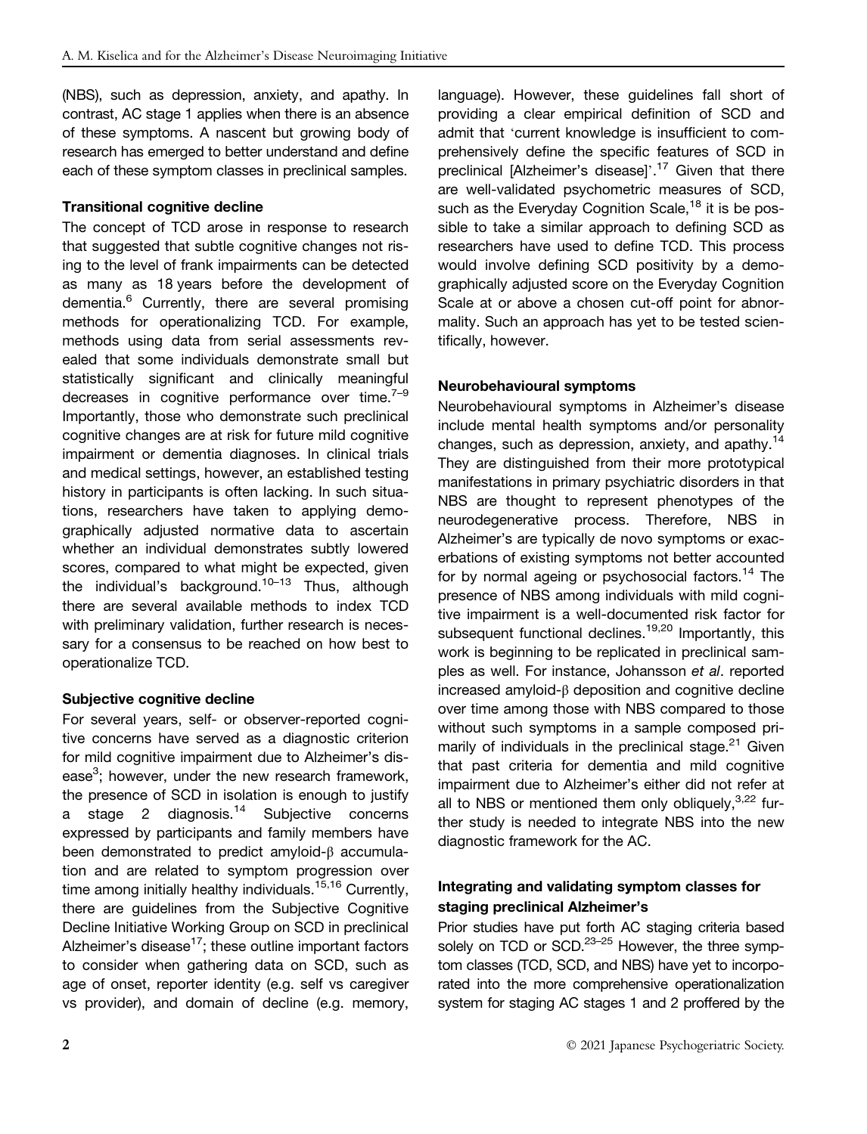(NBS), such as depression, anxiety, and apathy. In contrast, AC stage 1 applies when there is an absence of these symptoms. A nascent but growing body of research has emerged to better understand and define each of these symptom classes in preclinical samples.

#### Transitional cognitive decline

The concept of TCD arose in response to research that suggested that subtle cognitive changes not rising to the level of frank impairments can be detected as many as 18 years before the development of dementia.<sup>6</sup> Currently, there are several promising methods for operationalizing TCD. For example, methods using data from serial assessments revealed that some individuals demonstrate small but statistically significant and clinically meaningful decreases in cognitive performance over time. $7-9$ Importantly, those who demonstrate such preclinical cognitive changes are at risk for future mild cognitive impairment or dementia diagnoses. In clinical trials and medical settings, however, an established testing history in participants is often lacking. In such situations, researchers have taken to applying demographically adjusted normative data to ascertain whether an individual demonstrates subtly lowered scores, compared to what might be expected, given the individual's background.<sup>10–13</sup> Thus, although there are several available methods to index TCD with preliminary validation, further research is necessary for a consensus to be reached on how best to operationalize TCD.

## Subjective cognitive decline

For several years, self- or observer-reported cognitive concerns have served as a diagnostic criterion for mild cognitive impairment due to Alzheimer's disease<sup>3</sup>; however, under the new research framework, the presence of SCD in isolation is enough to justify a stage 2 diagnosis.<sup>14</sup> Subjective concerns expressed by participants and family members have been demonstrated to predict amyloid-β accumulation and are related to symptom progression over time among initially healthy individuals.<sup>15,16</sup> Currently, there are guidelines from the Subjective Cognitive Decline Initiative Working Group on SCD in preclinical Alzheimer's disease<sup>17</sup>; these outline important factors to consider when gathering data on SCD, such as age of onset, reporter identity (e.g. self vs caregiver vs provider), and domain of decline (e.g. memory, language). However, these guidelines fall short of providing a clear empirical definition of SCD and admit that 'current knowledge is insufficient to comprehensively define the specific features of SCD in preclinical [Alzheimer's disease]'.<sup>17</sup> Given that there are well-validated psychometric measures of SCD, such as the Everyday Cognition Scale,<sup>18</sup> it is be possible to take a similar approach to defining SCD as researchers have used to define TCD. This process would involve defining SCD positivity by a demographically adjusted score on the Everyday Cognition Scale at or above a chosen cut-off point for abnormality. Such an approach has yet to be tested scientifically, however.

#### Neurobehavioural symptoms

Neurobehavioural symptoms in Alzheimer's disease include mental health symptoms and/or personality changes, such as depression, anxiety, and apathy.<sup>14</sup> They are distinguished from their more prototypical manifestations in primary psychiatric disorders in that NBS are thought to represent phenotypes of the neurodegenerative process. Therefore, NBS in Alzheimer's are typically de novo symptoms or exacerbations of existing symptoms not better accounted for by normal ageing or psychosocial factors.<sup>14</sup> The presence of NBS among individuals with mild cognitive impairment is a well-documented risk factor for subsequent functional declines.<sup>19,20</sup> Importantly, this work is beginning to be replicated in preclinical samples as well. For instance, Johansson et al. reported increased amyloid-β deposition and cognitive decline over time among those with NBS compared to those without such symptoms in a sample composed primarily of individuals in the preclinical stage. $21$  Given that past criteria for dementia and mild cognitive impairment due to Alzheimer's either did not refer at all to NBS or mentioned them only obliquely,  $3,22$  further study is needed to integrate NBS into the new diagnostic framework for the AC.

## Integrating and validating symptom classes for staging preclinical Alzheimer's

Prior studies have put forth AC staging criteria based solely on TCD or  $SCD.<sup>23-25</sup>$  However, the three symptom classes (TCD, SCD, and NBS) have yet to incorporated into the more comprehensive operationalization system for staging AC stages 1 and 2 proffered by the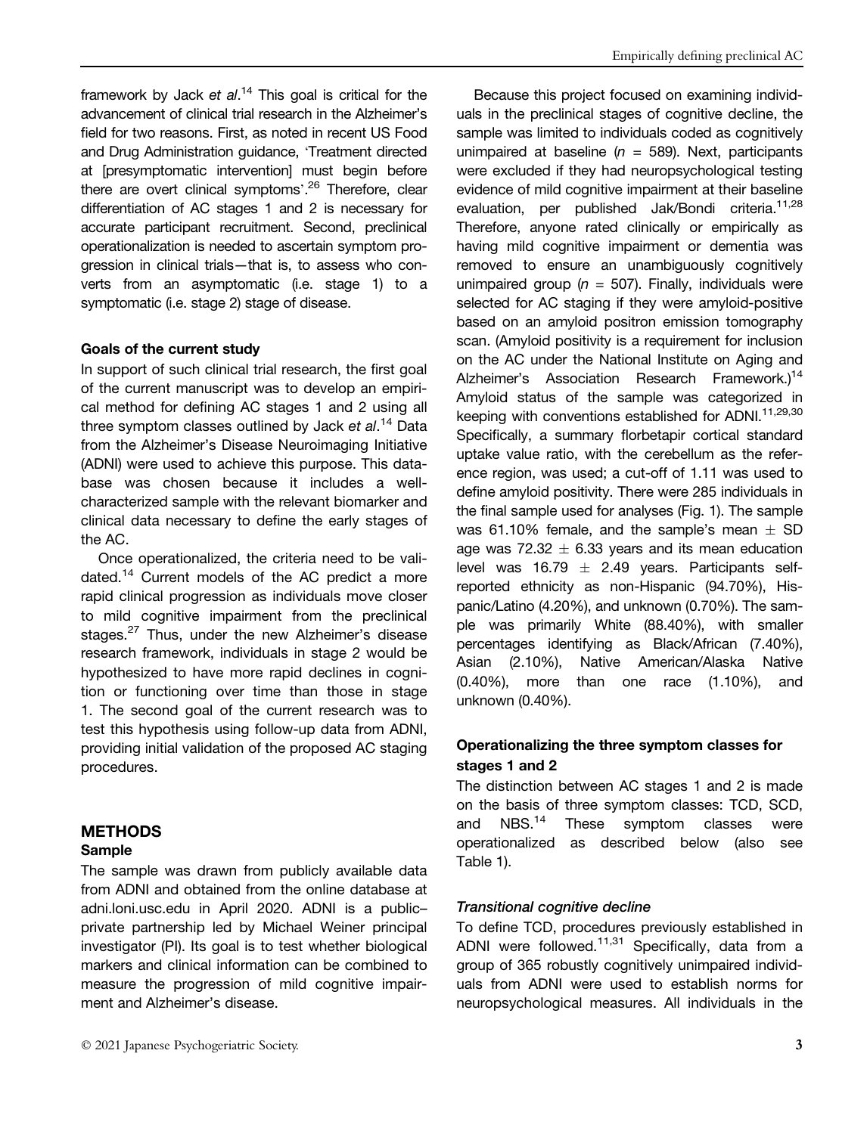framework by Jack et al.<sup>14</sup> This goal is critical for the advancement of clinical trial research in the Alzheimer's field for two reasons. First, as noted in recent US Food and Drug Administration guidance, 'Treatment directed at [presymptomatic intervention] must begin before there are overt clinical symptoms'.<sup>26</sup> Therefore, clear differentiation of AC stages 1 and 2 is necessary for accurate participant recruitment. Second, preclinical operationalization is needed to ascertain symptom progression in clinical trials—that is, to assess who converts from an asymptomatic (i.e. stage 1) to a symptomatic (i.e. stage 2) stage of disease.

#### Goals of the current study

In support of such clinical trial research, the first goal of the current manuscript was to develop an empirical method for defining AC stages 1 and 2 using all three symptom classes outlined by Jack et al.<sup>14</sup> Data from the Alzheimer's Disease Neuroimaging Initiative (ADNI) were used to achieve this purpose. This database was chosen because it includes a wellcharacterized sample with the relevant biomarker and clinical data necessary to define the early stages of the AC.

Once operationalized, the criteria need to be validated.<sup>14</sup> Current models of the AC predict a more rapid clinical progression as individuals move closer to mild cognitive impairment from the preclinical stages.<sup>27</sup> Thus, under the new Alzheimer's disease research framework, individuals in stage 2 would be hypothesized to have more rapid declines in cognition or functioning over time than those in stage 1. The second goal of the current research was to test this hypothesis using follow-up data from ADNI, providing initial validation of the proposed AC staging procedures.

## METHODS

#### Sample

The sample was drawn from publicly available data from ADNI and obtained from the online database at [adni.loni.usc.edu](http://adni.loni.usc.edu) in April 2020. ADNI is a public– private partnership led by Michael Weiner principal investigator (PI). Its goal is to test whether biological markers and clinical information can be combined to measure the progression of mild cognitive impairment and Alzheimer's disease.

Because this project focused on examining individuals in the preclinical stages of cognitive decline, the sample was limited to individuals coded as cognitively unimpaired at baseline ( $n = 589$ ). Next, participants were excluded if they had neuropsychological testing evidence of mild cognitive impairment at their baseline evaluation, per published Jak/Bondi criteria.<sup>11,28</sup> Therefore, anyone rated clinically or empirically as having mild cognitive impairment or dementia was removed to ensure an unambiguously cognitively unimpaired group ( $n = 507$ ). Finally, individuals were selected for AC staging if they were amyloid-positive based on an amyloid positron emission tomography scan. (Amyloid positivity is a requirement for inclusion on the AC under the National Institute on Aging and Alzheimer's Association Research Framework.)<sup>14</sup> Amyloid status of the sample was categorized in keeping with conventions established for ADNI.<sup>11,29,30</sup> Specifically, a summary florbetapir cortical standard uptake value ratio, with the cerebellum as the reference region, was used; a cut-off of 1.11 was used to define amyloid positivity. There were 285 individuals in the final sample used for analyses (Fig. 1). The sample was 61.10% female, and the sample's mean  $\pm$  SD age was  $72.32 \pm 6.33$  years and its mean education level was 16.79  $\pm$  2.49 years. Participants selfreported ethnicity as non-Hispanic (94.70%), Hispanic/Latino (4.20%), and unknown (0.70%). The sample was primarily White (88.40%), with smaller percentages identifying as Black/African (7.40%), Asian (2.10%), Native American/Alaska Native (0.40%), more than one race (1.10%), and unknown (0.40%).

## Operationalizing the three symptom classes for stages 1 and 2

The distinction between AC stages 1 and 2 is made on the basis of three symptom classes: TCD, SCD, and NBS.<sup>14</sup> These symptom classes were and NBS.<sup>14</sup> These symptom classes were operationalized as described below (also see Table 1).

## Transitional cognitive decline

To define TCD, procedures previously established in ADNI were followed.<sup>11,31</sup> Specifically, data from a group of 365 robustly cognitively unimpaired individuals from ADNI were used to establish norms for neuropsychological measures. All individuals in the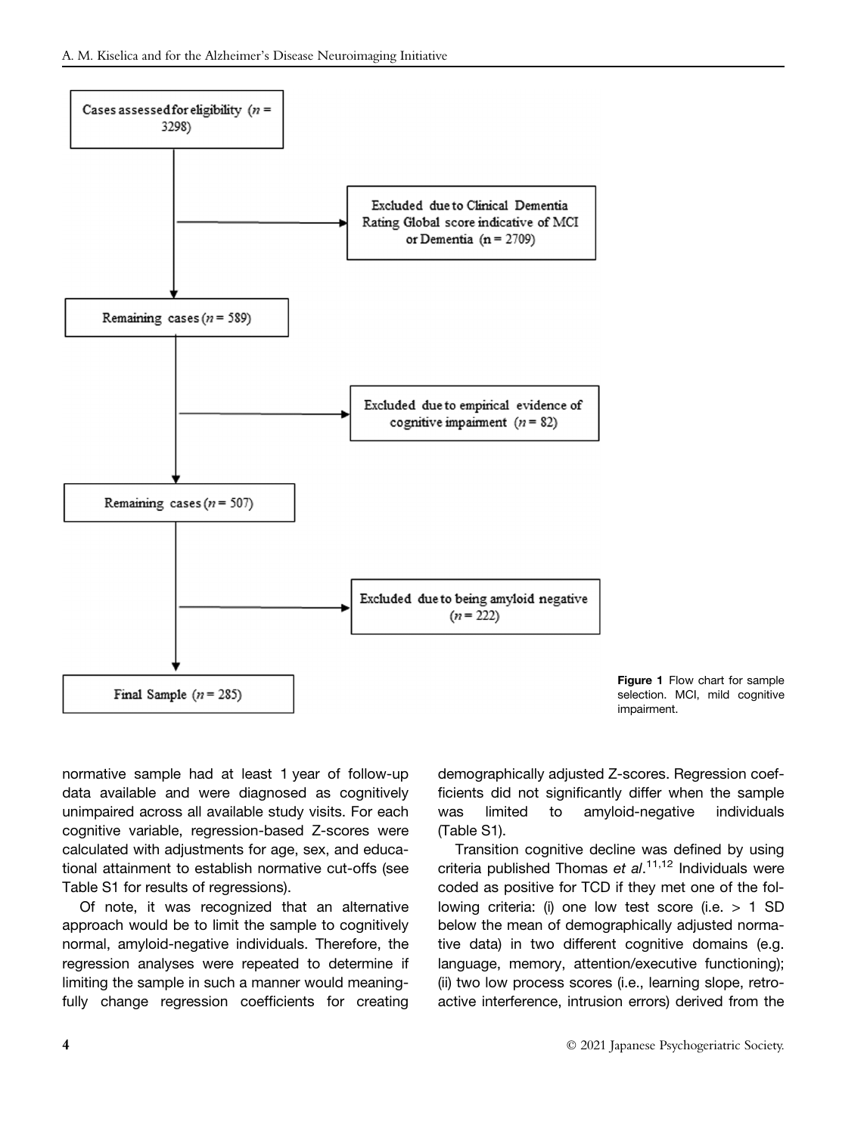



normative sample had at least 1 year of follow-up data available and were diagnosed as cognitively unimpaired across all available study visits. For each cognitive variable, regression-based Z-scores were calculated with adjustments for age, sex, and educational attainment to establish normative cut-offs (see Table S1 for results of regressions).

Of note, it was recognized that an alternative approach would be to limit the sample to cognitively normal, amyloid-negative individuals. Therefore, the regression analyses were repeated to determine if limiting the sample in such a manner would meaningfully change regression coefficients for creating demographically adjusted Z-scores. Regression coefficients did not significantly differ when the sample was limited to amyloid-negative individuals (Table S1).

Transition cognitive decline was defined by using criteria published Thomas et al.<sup>11,12</sup> Individuals were coded as positive for TCD if they met one of the following criteria: (i) one low test score (i.e. > 1 SD below the mean of demographically adjusted normative data) in two different cognitive domains (e.g. language, memory, attention/executive functioning); (ii) two low process scores (i.e., learning slope, retroactive interference, intrusion errors) derived from the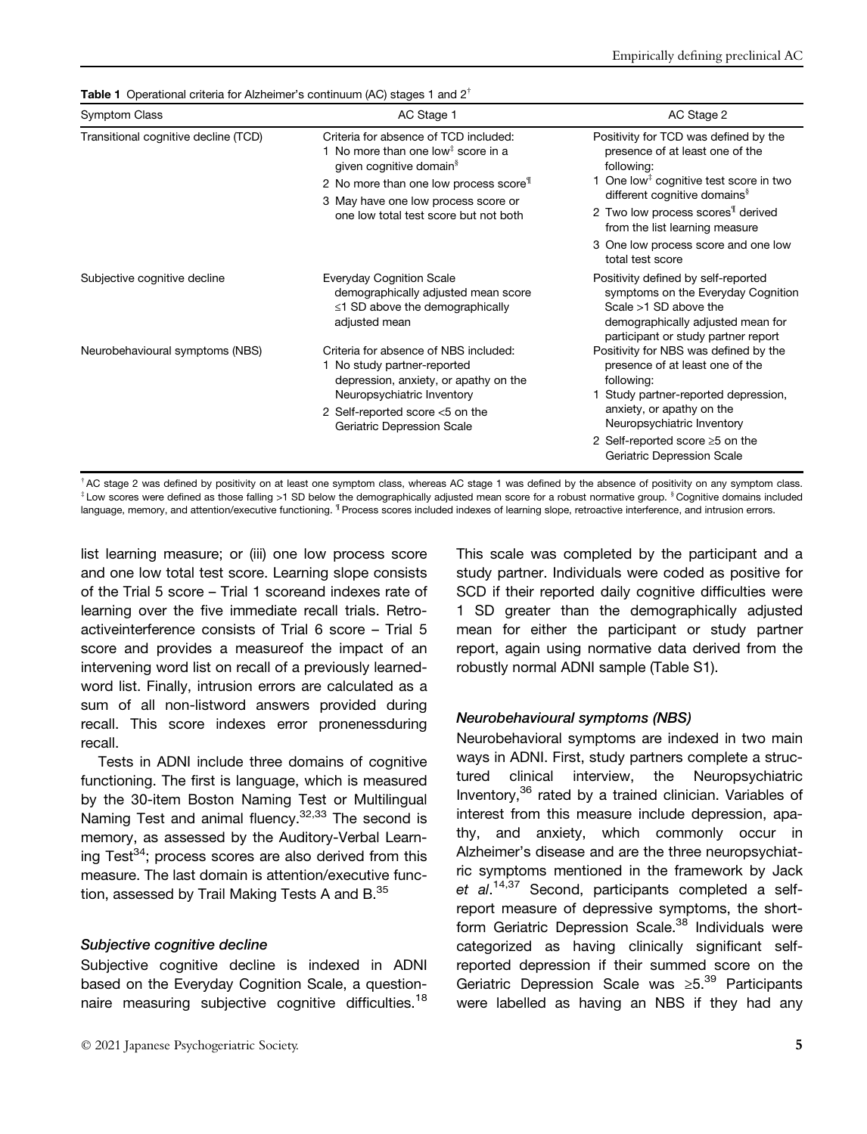**Table 1** Operational criteria for Alzheimer's continuum (AC) stages 1 and  $2^{\dagger}$ 

| <b>Symptom Class</b>                 | AC Stage 1                                                                                                                                                                                                                                                                              | AC Stage 2                                                                                                                                                                                                                                                                  |
|--------------------------------------|-----------------------------------------------------------------------------------------------------------------------------------------------------------------------------------------------------------------------------------------------------------------------------------------|-----------------------------------------------------------------------------------------------------------------------------------------------------------------------------------------------------------------------------------------------------------------------------|
| Transitional cognitive decline (TCD) | Criteria for absence of TCD included:<br>1 No more than one low <sup><math>\ddagger</math></sup> score in a<br>given cognitive domain <sup>§</sup><br>2 No more than one low process score <sup>¶</sup><br>3 May have one low process score or<br>one low total test score but not both | Positivity for TCD was defined by the<br>presence of at least one of the<br>following:<br>1 One low <sup>#</sup> cognitive test score in two<br>different cognitive domains <sup>§</sup><br>2 Two low process scores <sup>1</sup> derived<br>from the list learning measure |
|                                      |                                                                                                                                                                                                                                                                                         | 3 One low process score and one low<br>total test score                                                                                                                                                                                                                     |
| Subjective cognitive decline         | <b>Everyday Cognition Scale</b><br>demographically adjusted mean score<br>≤1 SD above the demographically<br>adjusted mean                                                                                                                                                              | Positivity defined by self-reported<br>symptoms on the Everyday Cognition<br>Scale >1 SD above the<br>demographically adjusted mean for<br>participant or study partner report                                                                                              |
| Neurobehavioural symptoms (NBS)      | Criteria for absence of NBS included:<br>1 No study partner-reported<br>depression, anxiety, or apathy on the<br>Neuropsychiatric Inventory<br>2 Self-reported score <5 on the<br>Geriatric Depression Scale                                                                            | Positivity for NBS was defined by the<br>presence of at least one of the<br>following:<br>Study partner-reported depression,<br>anxiety, or apathy on the<br>Neuropsychiatric Inventory<br>2 Self-reported score ≥5 on the<br>Geriatric Depression Scale                    |

 $^{\dagger}$ AC stage 2 was defined by positivity on at least one symptom class, whereas AC stage 1 was defined by the absence of positivity on any symptom class. ‡ Low scores were defined as those falling >1 SD below the demographically adjusted mean score for a robust normative group. § Cognitive domains included language, memory, and attention/executive functioning. <sup>1</sup> Process scores included indexes of learning slope, retroactive interference, and intrusion errors.

list learning measure; or (iii) one low process score and one low total test score. Learning slope consists of the Trial 5 score – Trial 1 scoreand indexes rate of learning over the five immediate recall trials. Retroactiveinterference consists of Trial 6 score – Trial 5 score and provides a measureof the impact of an intervening word list on recall of a previously learnedword list. Finally, intrusion errors are calculated as a sum of all non-listword answers provided during recall. This score indexes error pronenessduring recall.

Tests in ADNI include three domains of cognitive functioning. The first is language, which is measured by the 30-item Boston Naming Test or Multilingual Naming Test and animal fluency.<sup>32,33</sup> The second is memory, as assessed by the Auditory-Verbal Learning Test $^{34}$ ; process scores are also derived from this measure. The last domain is attention/executive function, assessed by Trail Making Tests A and B.<sup>35</sup>

## Subjective cognitive decline

Subjective cognitive decline is indexed in ADNI based on the Everyday Cognition Scale, a questionnaire measuring subjective cognitive difficulties.<sup>18</sup> This scale was completed by the participant and a study partner. Individuals were coded as positive for SCD if their reported daily cognitive difficulties were 1 SD greater than the demographically adjusted mean for either the participant or study partner report, again using normative data derived from the robustly normal ADNI sample (Table S1).

## Neurobehavioural symptoms (NBS)

Neurobehavioral symptoms are indexed in two main ways in ADNI. First, study partners complete a structured clinical interview, the Neuropsychiatric Inventory,<sup>36</sup> rated by a trained clinician. Variables of interest from this measure include depression, apathy, and anxiety, which commonly occur in Alzheimer's disease and are the three neuropsychiatric symptoms mentioned in the framework by Jack et al.<sup>14,37</sup> Second, participants completed a selfreport measure of depressive symptoms, the shortform Geriatric Depression Scale.<sup>38</sup> Individuals were categorized as having clinically significant selfreported depression if their summed score on the Geriatric Depression Scale was ≥5.<sup>39</sup> Participants were labelled as having an NBS if they had any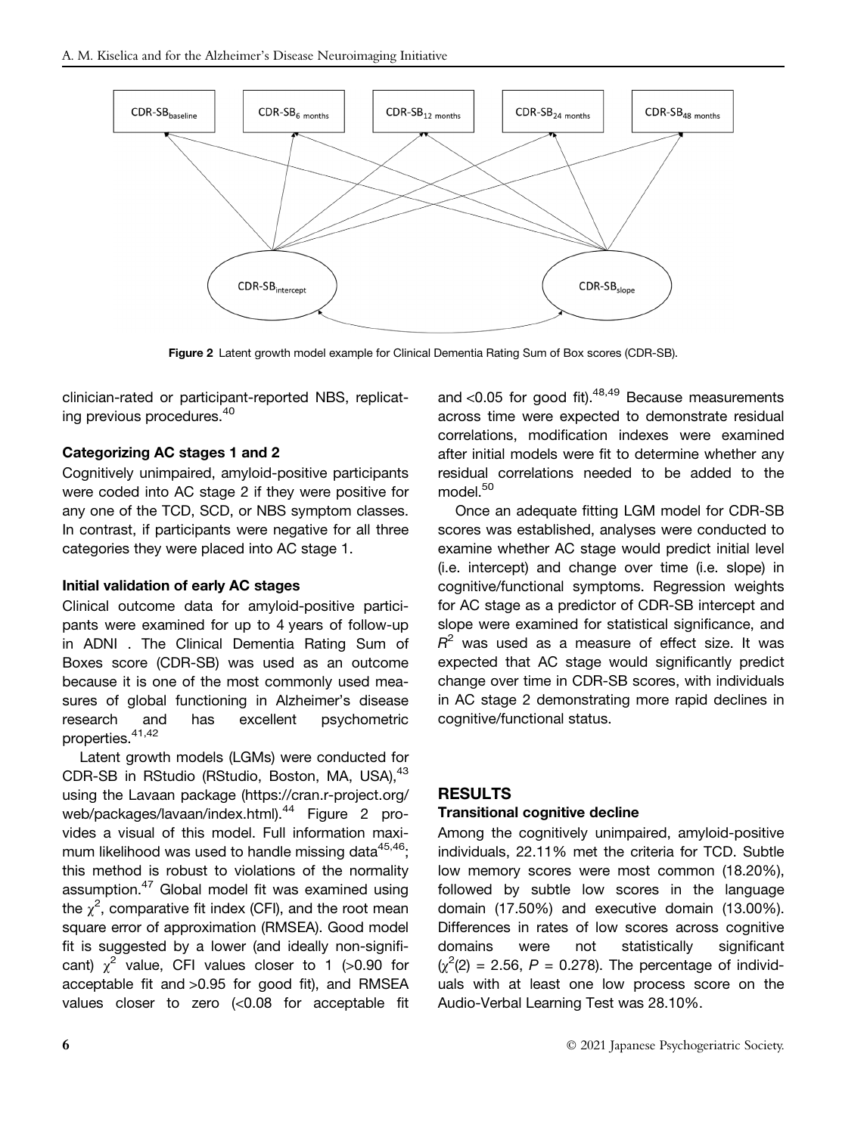

Figure 2 Latent growth model example for Clinical Dementia Rating Sum of Box scores (CDR-SB).

clinician-rated or participant-reported NBS, replicating previous procedures.<sup>40</sup>

## Categorizing AC stages 1 and 2

Cognitively unimpaired, amyloid-positive participants were coded into AC stage 2 if they were positive for any one of the TCD, SCD, or NBS symptom classes. In contrast, if participants were negative for all three categories they were placed into AC stage 1.

## Initial validation of early AC stages

Clinical outcome data for amyloid-positive participants were examined for up to 4 years of follow-up in ADNI . The Clinical Dementia Rating Sum of Boxes score (CDR-SB) was used as an outcome because it is one of the most commonly used measures of global functioning in Alzheimer's disease research and has excellent psychometric properties.41,42

Latent growth models (LGMs) were conducted for CDR-SB in RStudio (RStudio, Boston, MA, USA), <sup>43</sup> using the Lavaan package (https://cran.r-project.org/ web/packages/lavaan/index.html).<sup>44</sup> Figure 2 provides a visual of this model. Full information maximum likelihood was used to handle missing data $45,46$ ; this method is robust to violations of the normality assumption.<sup>47</sup> Global model fit was examined using the  $\chi^2$ , comparative fit index (CFI), and the root mean square error of approximation (RMSEA). Good model fit is suggested by a lower (and ideally non-significant)  $\chi^2$  value, CFI values closer to 1 (>0.90 for acceptable fit and >0.95 for good fit), and RMSEA values closer to zero (<0.08 for acceptable fit and  $<$ 0.05 for good fit).<sup>48,49</sup> Because measurements across time were expected to demonstrate residual correlations, modification indexes were examined after initial models were fit to determine whether any residual correlations needed to be added to the model.<sup>50</sup>

Once an adequate fitting LGM model for CDR-SB scores was established, analyses were conducted to examine whether AC stage would predict initial level (i.e. intercept) and change over time (i.e. slope) in cognitive/functional symptoms. Regression weights for AC stage as a predictor of CDR-SB intercept and slope were examined for statistical significance, and  $R^2$  was used as a measure of effect size. It was expected that AC stage would significantly predict change over time in CDR-SB scores, with individuals in AC stage 2 demonstrating more rapid declines in cognitive/functional status.

## RESULTS

## Transitional cognitive decline

Among the cognitively unimpaired, amyloid-positive individuals, 22.11% met the criteria for TCD. Subtle low memory scores were most common (18.20%), followed by subtle low scores in the language domain (17.50%) and executive domain (13.00%). Differences in rates of low scores across cognitive domains were not statistically significant  $(\chi^2(2) = 2.56, P = 0.278)$ . The percentage of individuals with at least one low process score on the Audio-Verbal Learning Test was 28.10%.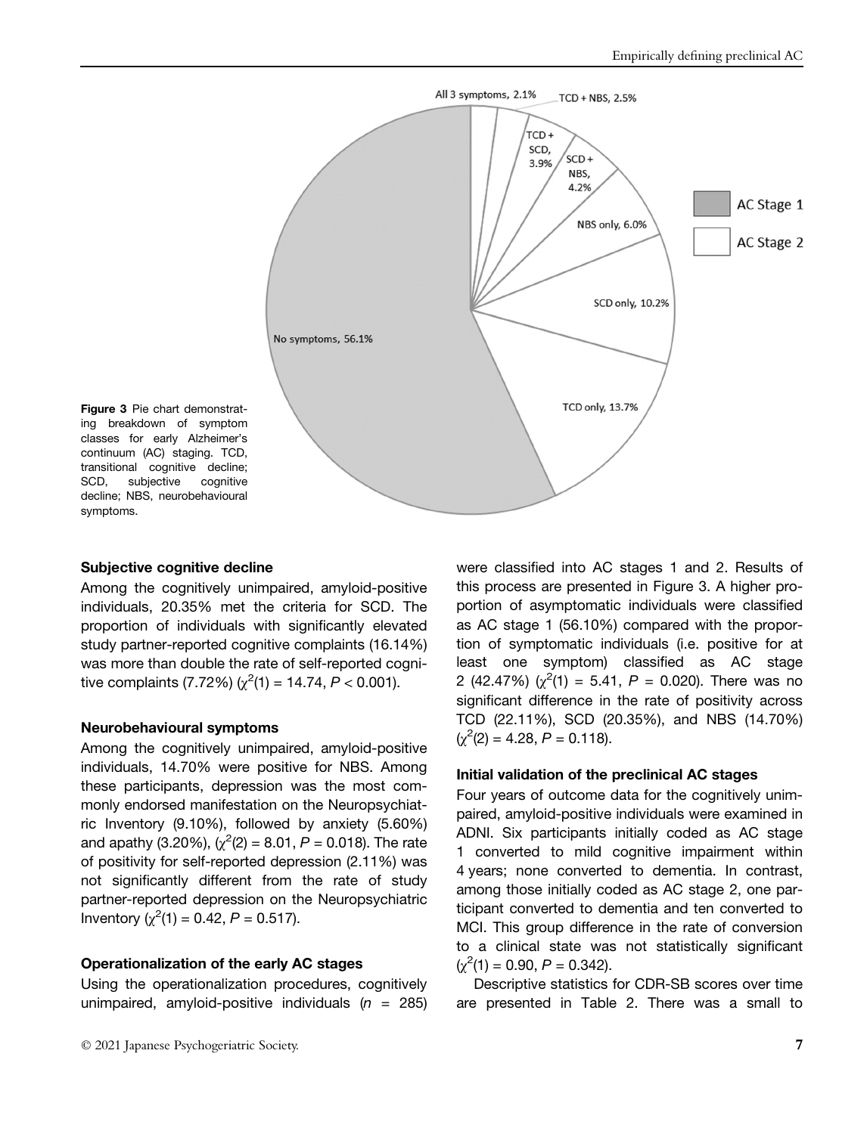

Figure 3 Pie chart demonstrating breakdown of symptom classes for early Alzheimer's continuum (AC) staging. TCD, transitional cognitive decline; SCD, subjective cognitive decline; NBS, neurobehavioural symptoms.

#### Subjective cognitive decline

Among the cognitively unimpaired, amyloid-positive individuals, 20.35% met the criteria for SCD. The proportion of individuals with significantly elevated study partner-reported cognitive complaints (16.14%) was more than double the rate of self-reported cognitive complaints (7.72%) ( $\chi^2(1) = 14.74$ ,  $P < 0.001$ ).

#### Neurobehavioural symptoms

Among the cognitively unimpaired, amyloid-positive individuals, 14.70% were positive for NBS. Among these participants, depression was the most commonly endorsed manifestation on the Neuropsychiatric Inventory (9.10%), followed by anxiety (5.60%) and apathy (3.20%), ( $\chi^2(2) = 8.01$ ,  $P = 0.018$ ). The rate of positivity for self-reported depression (2.11%) was not significantly different from the rate of study partner-reported depression on the Neuropsychiatric Inventory  $(\chi^2(1) = 0.42, P = 0.517)$ .

#### Operationalization of the early AC stages

Using the operationalization procedures, cognitively unimpaired, amyloid-positive individuals  $(n = 285)$ 

© 2021 Japanese Psychogeriatric Society. 7

were classified into AC stages 1 and 2. Results of this process are presented in Figure 3. A higher proportion of asymptomatic individuals were classified as AC stage 1 (56.10%) compared with the proportion of symptomatic individuals (i.e. positive for at least one symptom) classified as AC stage 2 (42.47%)  $(\chi^2(1) = 5.41, P = 0.020)$ . There was no significant difference in the rate of positivity across TCD (22.11%), SCD (20.35%), and NBS (14.70%)  $(\chi^2(2) = 4.28, P = 0.118).$ 

#### Initial validation of the preclinical AC stages

Four years of outcome data for the cognitively unimpaired, amyloid-positive individuals were examined in ADNI. Six participants initially coded as AC stage 1 converted to mild cognitive impairment within 4 years; none converted to dementia. In contrast, among those initially coded as AC stage 2, one participant converted to dementia and ten converted to MCI. This group difference in the rate of conversion to a clinical state was not statistically significant  $(\chi^2(1) = 0.90, P = 0.342).$ 

Descriptive statistics for CDR-SB scores over time are presented in Table 2. There was a small to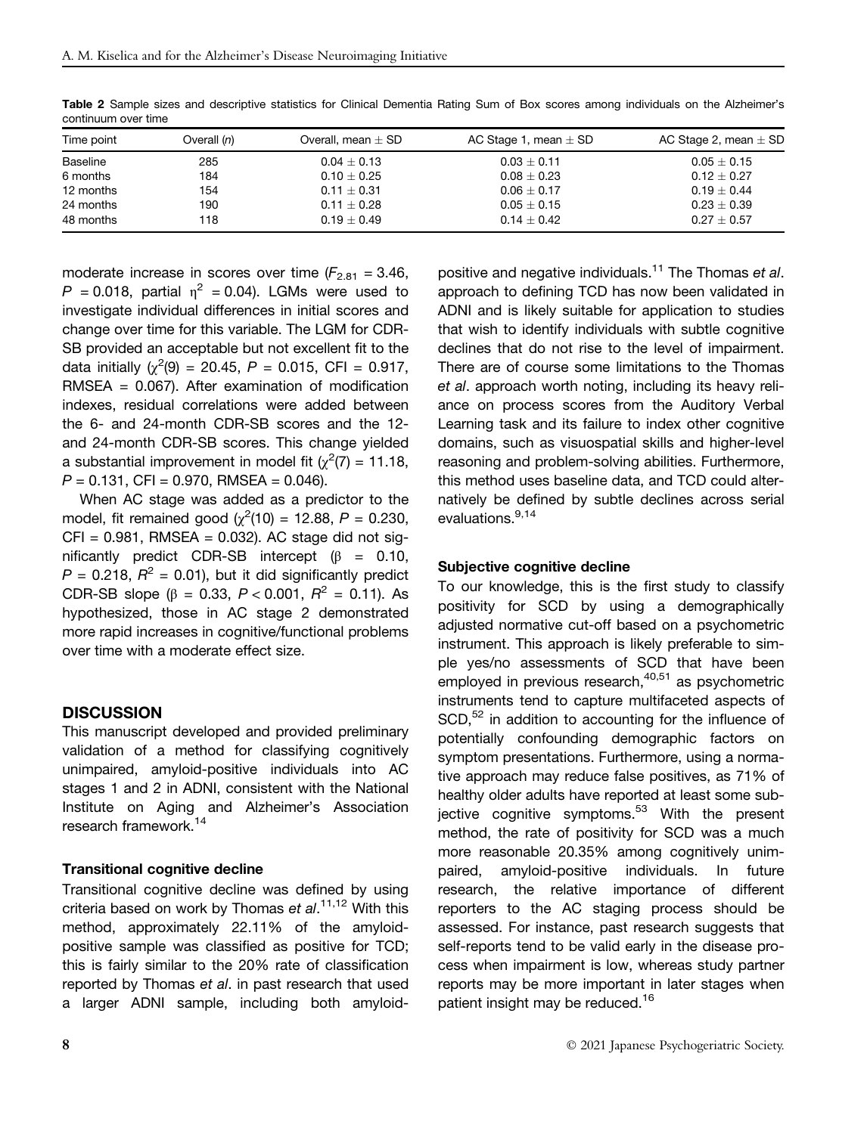| Time point | Overall $(n)$ | Overall, mean $\pm$ SD | AC Stage 1, mean $\pm$ SD | AC Stage 2, mean $\pm$ SD |
|------------|---------------|------------------------|---------------------------|---------------------------|
| Baseline   | 285           | $0.04 \pm 0.13$        | $0.03 \pm 0.11$           | $0.05\pm0.15$             |
| 6 months   | 184           | $0.10 + 0.25$          | $0.08 + 0.23$             | $0.12 + 0.27$             |
| 12 months  | 154           | $0.11 \pm 0.31$        | $0.06 \pm 0.17$           | $0.19 + 0.44$             |
| 24 months  | 190           | $0.11 + 0.28$          | $0.05 + 0.15$             | $0.23 + 0.39$             |
| 48 months  | 118           | $0.19 \pm 0.49$        | $0.14 + 0.42$             | $0.27 \pm 0.57$           |

Table 2 Sample sizes and descriptive statistics for Clinical Dementia Rating Sum of Box scores among individuals on the Alzheimer's continuum over time

moderate increase in scores over time  $(F_{2.81} = 3.46,$  $P = 0.018$ , partial  $\eta^2 = 0.04$ ). LGMs were used to investigate individual differences in initial scores and change over time for this variable. The LGM for CDR-SB provided an acceptable but not excellent fit to the data initially  $\chi^2(9) = 20.45$ ,  $P = 0.015$ , CFI = 0.917, RMSEA = 0.067). After examination of modification indexes, residual correlations were added between the 6- and 24-month CDR-SB scores and the 12 and 24-month CDR-SB scores. This change yielded a substantial improvement in model fit ( $\chi^2$ (7) = 11.18,  $P = 0.131$ , CFI = 0.970, RMSEA = 0.046).

When AC stage was added as a predictor to the model, fit remained good ( $\chi^2(10) = 12.88, P = 0.230,$  $CFI = 0.981$ , RMSEA = 0.032). AC stage did not significantly predict CDR-SB intercept  $(\beta = 0.10,$  $P = 0.218$ ,  $R^2 = 0.01$ , but it did significantly predict CDR-SB slope ( $\beta$  = 0.33, P < 0.001,  $R^2$  = 0.11). As hypothesized, those in AC stage 2 demonstrated more rapid increases in cognitive/functional problems over time with a moderate effect size.

#### **DISCUSSION**

This manuscript developed and provided preliminary validation of a method for classifying cognitively unimpaired, amyloid-positive individuals into AC stages 1 and 2 in ADNI, consistent with the National Institute on Aging and Alzheimer's Association research framework.<sup>14</sup>

#### Transitional cognitive decline

Transitional cognitive decline was defined by using criteria based on work by Thomas et al.<sup>11,12</sup> With this method, approximately 22.11% of the amyloidpositive sample was classified as positive for TCD; this is fairly similar to the 20% rate of classification reported by Thomas et al. in past research that used a larger ADNI sample, including both amyloid-

positive and negative individuals.<sup>11</sup> The Thomas et al. approach to defining TCD has now been validated in ADNI and is likely suitable for application to studies that wish to identify individuals with subtle cognitive declines that do not rise to the level of impairment. There are of course some limitations to the Thomas et al. approach worth noting, including its heavy reliance on process scores from the Auditory Verbal Learning task and its failure to index other cognitive domains, such as visuospatial skills and higher-level reasoning and problem-solving abilities. Furthermore, this method uses baseline data, and TCD could alternatively be defined by subtle declines across serial evaluations.9,14

#### Subjective cognitive decline

To our knowledge, this is the first study to classify positivity for SCD by using a demographically adjusted normative cut-off based on a psychometric instrument. This approach is likely preferable to simple yes/no assessments of SCD that have been employed in previous research,  $40,51$  as psychometric instruments tend to capture multifaceted aspects of SCD,<sup>52</sup> in addition to accounting for the influence of potentially confounding demographic factors on symptom presentations. Furthermore, using a normative approach may reduce false positives, as 71% of healthy older adults have reported at least some subjective cognitive symptoms. $53$  With the present method, the rate of positivity for SCD was a much more reasonable 20.35% among cognitively unimpaired, amyloid-positive individuals. In future research, the relative importance of different reporters to the AC staging process should be assessed. For instance, past research suggests that self-reports tend to be valid early in the disease process when impairment is low, whereas study partner reports may be more important in later stages when patient insight may be reduced.<sup>16</sup>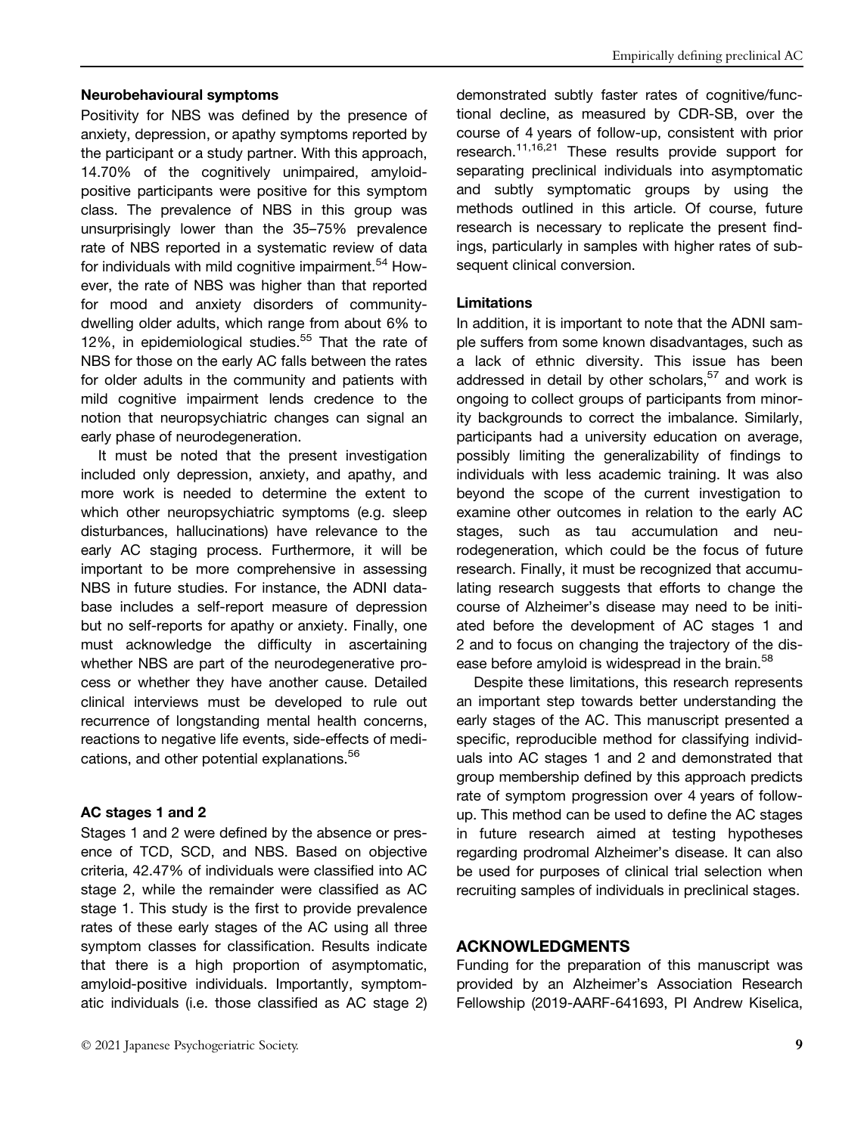#### Neurobehavioural symptoms

Positivity for NBS was defined by the presence of anxiety, depression, or apathy symptoms reported by the participant or a study partner. With this approach, 14.70% of the cognitively unimpaired, amyloidpositive participants were positive for this symptom class. The prevalence of NBS in this group was unsurprisingly lower than the 35–75% prevalence rate of NBS reported in a systematic review of data for individuals with mild cognitive impairment.<sup>54</sup> However, the rate of NBS was higher than that reported for mood and anxiety disorders of communitydwelling older adults, which range from about 6% to 12%, in epidemiological studies. $55$  That the rate of NBS for those on the early AC falls between the rates for older adults in the community and patients with mild cognitive impairment lends credence to the notion that neuropsychiatric changes can signal an early phase of neurodegeneration.

It must be noted that the present investigation included only depression, anxiety, and apathy, and more work is needed to determine the extent to which other neuropsychiatric symptoms (e.g. sleep disturbances, hallucinations) have relevance to the early AC staging process. Furthermore, it will be important to be more comprehensive in assessing NBS in future studies. For instance, the ADNI database includes a self-report measure of depression but no self-reports for apathy or anxiety. Finally, one must acknowledge the difficulty in ascertaining whether NBS are part of the neurodegenerative process or whether they have another cause. Detailed clinical interviews must be developed to rule out recurrence of longstanding mental health concerns, reactions to negative life events, side-effects of medications, and other potential explanations.<sup>56</sup>

#### AC stages 1 and 2

Stages 1 and 2 were defined by the absence or presence of TCD, SCD, and NBS. Based on objective criteria, 42.47% of individuals were classified into AC stage 2, while the remainder were classified as AC stage 1. This study is the first to provide prevalence rates of these early stages of the AC using all three symptom classes for classification. Results indicate that there is a high proportion of asymptomatic, amyloid-positive individuals. Importantly, symptomatic individuals (i.e. those classified as AC stage 2)

demonstrated subtly faster rates of cognitive/functional decline, as measured by CDR-SB, over the course of 4 years of follow-up, consistent with prior research.<sup>11,16,21</sup> These results provide support for separating preclinical individuals into asymptomatic and subtly symptomatic groups by using the methods outlined in this article. Of course, future research is necessary to replicate the present findings, particularly in samples with higher rates of subsequent clinical conversion.

#### Limitations

In addition, it is important to note that the ADNI sample suffers from some known disadvantages, such as a lack of ethnic diversity. This issue has been addressed in detail by other scholars, $57$  and work is ongoing to collect groups of participants from minority backgrounds to correct the imbalance. Similarly, participants had a university education on average, possibly limiting the generalizability of findings to individuals with less academic training. It was also beyond the scope of the current investigation to examine other outcomes in relation to the early AC stages, such as tau accumulation and neurodegeneration, which could be the focus of future research. Finally, it must be recognized that accumulating research suggests that efforts to change the course of Alzheimer's disease may need to be initiated before the development of AC stages 1 and 2 and to focus on changing the trajectory of the disease before amyloid is widespread in the brain.<sup>58</sup>

Despite these limitations, this research represents an important step towards better understanding the early stages of the AC. This manuscript presented a specific, reproducible method for classifying individuals into AC stages 1 and 2 and demonstrated that group membership defined by this approach predicts rate of symptom progression over 4 years of followup. This method can be used to define the AC stages in future research aimed at testing hypotheses regarding prodromal Alzheimer's disease. It can also be used for purposes of clinical trial selection when recruiting samples of individuals in preclinical stages.

#### ACKNOWLEDGMENTS

Funding for the preparation of this manuscript was provided by an Alzheimer's Association Research Fellowship (2019-AARF-641693, PI Andrew Kiselica,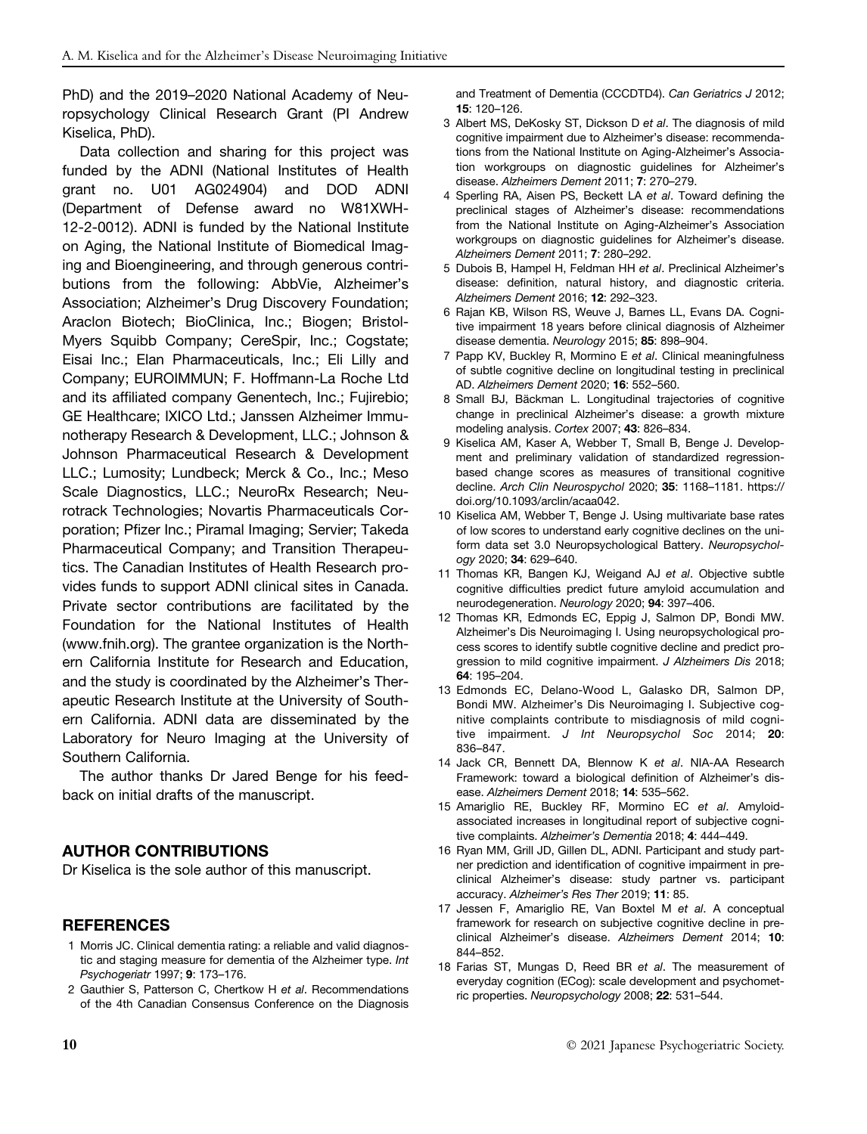PhD) and the 2019–2020 National Academy of Neuropsychology Clinical Research Grant (PI Andrew Kiselica, PhD).

Data collection and sharing for this project was funded by the ADNI (National Institutes of Health grant no. U01 AG024904) and DOD ADNI (Department of Defense award no W81XWH-12-2-0012). ADNI is funded by the National Institute on Aging, the National Institute of Biomedical Imaging and Bioengineering, and through generous contributions from the following: AbbVie, Alzheimer's Association; Alzheimer's Drug Discovery Foundation; Araclon Biotech; BioClinica, Inc.; Biogen; Bristol-Myers Squibb Company; CereSpir, Inc.; Cogstate; Eisai Inc.; Elan Pharmaceuticals, Inc.; Eli Lilly and Company; EUROIMMUN; F. Hoffmann-La Roche Ltd and its affiliated company Genentech, Inc.; Fujirebio; GE Healthcare; IXICO Ltd.; Janssen Alzheimer Immunotherapy Research & Development, LLC.; Johnson & Johnson Pharmaceutical Research & Development LLC.; Lumosity; Lundbeck; Merck & Co., Inc.; Meso Scale Diagnostics, LLC.; NeuroRx Research; Neurotrack Technologies; Novartis Pharmaceuticals Corporation; Pfizer Inc.; Piramal Imaging; Servier; Takeda Pharmaceutical Company; and Transition Therapeutics. The Canadian Institutes of Health Research provides funds to support ADNI clinical sites in Canada. Private sector contributions are facilitated by the Foundation for the National Institutes of Health [\(www.fnih.org\)](http://www.fnih.org). The grantee organization is the Northern California Institute for Research and Education, and the study is coordinated by the Alzheimer's Therapeutic Research Institute at the University of Southern California. ADNI data are disseminated by the Laboratory for Neuro Imaging at the University of Southern California.

The author thanks Dr Jared Benge for his feedback on initial drafts of the manuscript.

## AUTHOR CONTRIBUTIONS

Dr Kiselica is the sole author of this manuscript.

## **REFERENCES**

- 1 Morris JC. Clinical dementia rating: a reliable and valid diagnostic and staging measure for dementia of the Alzheimer type. Int Psychogeriatr 1997; 9: 173–176.
- 2 Gauthier S, Patterson C, Chertkow H et al. Recommendations of the 4th Canadian Consensus Conference on the Diagnosis

and Treatment of Dementia (CCCDTD4). Can Geriatrics J 2012; 15: 120–126.

- 3 Albert MS, DeKosky ST, Dickson D et al. The diagnosis of mild cognitive impairment due to Alzheimer's disease: recommendations from the National Institute on Aging-Alzheimer's Association workgroups on diagnostic guidelines for Alzheimer's disease. Alzheimers Dement 2011; 7: 270–279.
- 4 Sperling RA, Aisen PS, Beckett LA et al. Toward defining the preclinical stages of Alzheimer's disease: recommendations from the National Institute on Aging-Alzheimer's Association workgroups on diagnostic guidelines for Alzheimer's disease. Alzheimers Dement 2011; 7: 280–292.
- 5 Dubois B, Hampel H, Feldman HH et al. Preclinical Alzheimer's disease: definition, natural history, and diagnostic criteria. Alzheimers Dement 2016; 12: 292–323.
- 6 Rajan KB, Wilson RS, Weuve J, Barnes LL, Evans DA. Cognitive impairment 18 years before clinical diagnosis of Alzheimer disease dementia. Neurology 2015; 85: 898–904.
- 7 Papp KV, Buckley R, Mormino E et al. Clinical meaningfulness of subtle cognitive decline on longitudinal testing in preclinical AD. Alzheimers Dement 2020; 16: 552–560.
- 8 Small BJ, Bäckman L. Longitudinal trajectories of cognitive change in preclinical Alzheimer's disease: a growth mixture modeling analysis. Cortex 2007; 43: 826–834.
- 9 Kiselica AM, Kaser A, Webber T, Small B, Benge J. Development and preliminary validation of standardized regressionbased change scores as measures of transitional cognitive decline. Arch Clin Neurospychol 2020; 35: 1168-1181. [https://](https://doi.org/10.1093/arclin/acaa042) [doi.org/10.1093/arclin/acaa042](https://doi.org/10.1093/arclin/acaa042).
- 10 Kiselica AM, Webber T, Benge J. Using multivariate base rates of low scores to understand early cognitive declines on the uniform data set 3.0 Neuropsychological Battery. Neuropsychology 2020; 34: 629–640.
- 11 Thomas KR, Bangen KJ, Weigand AJ et al. Objective subtle cognitive difficulties predict future amyloid accumulation and neurodegeneration. Neurology 2020; 94: 397–406.
- 12 Thomas KR, Edmonds EC, Eppig J, Salmon DP, Bondi MW. Alzheimer's Dis Neuroimaging I. Using neuropsychological process scores to identify subtle cognitive decline and predict progression to mild cognitive impairment. J Alzheimers Dis 2018; 64: 195–204.
- 13 Edmonds EC, Delano-Wood L, Galasko DR, Salmon DP, Bondi MW. Alzheimer's Dis Neuroimaging I. Subjective cognitive complaints contribute to misdiagnosis of mild cognitive impairment. J Int Neuropsychol Soc 2014; 20: 836–847.
- 14 Jack CR, Bennett DA, Blennow K et al. NIA-AA Research Framework: toward a biological definition of Alzheimer's disease. Alzheimers Dement 2018; 14: 535–562.
- 15 Amariglio RE, Buckley RF, Mormino EC et al. Amyloidassociated increases in longitudinal report of subjective cognitive complaints. Alzheimer's Dementia 2018; 4: 444–449.
- 16 Ryan MM, Grill JD, Gillen DL, ADNI. Participant and study partner prediction and identification of cognitive impairment in preclinical Alzheimer's disease: study partner vs. participant accuracy. Alzheimer's Res Ther 2019; 11: 85.
- 17 Jessen F, Amariglio RE, Van Boxtel M et al. A conceptual framework for research on subjective cognitive decline in preclinical Alzheimer's disease. Alzheimers Dement 2014; 10: 844–852.
- 18 Farias ST, Mungas D, Reed BR et al. The measurement of everyday cognition (ECog): scale development and psychometric properties. Neuropsychology 2008; 22: 531–544.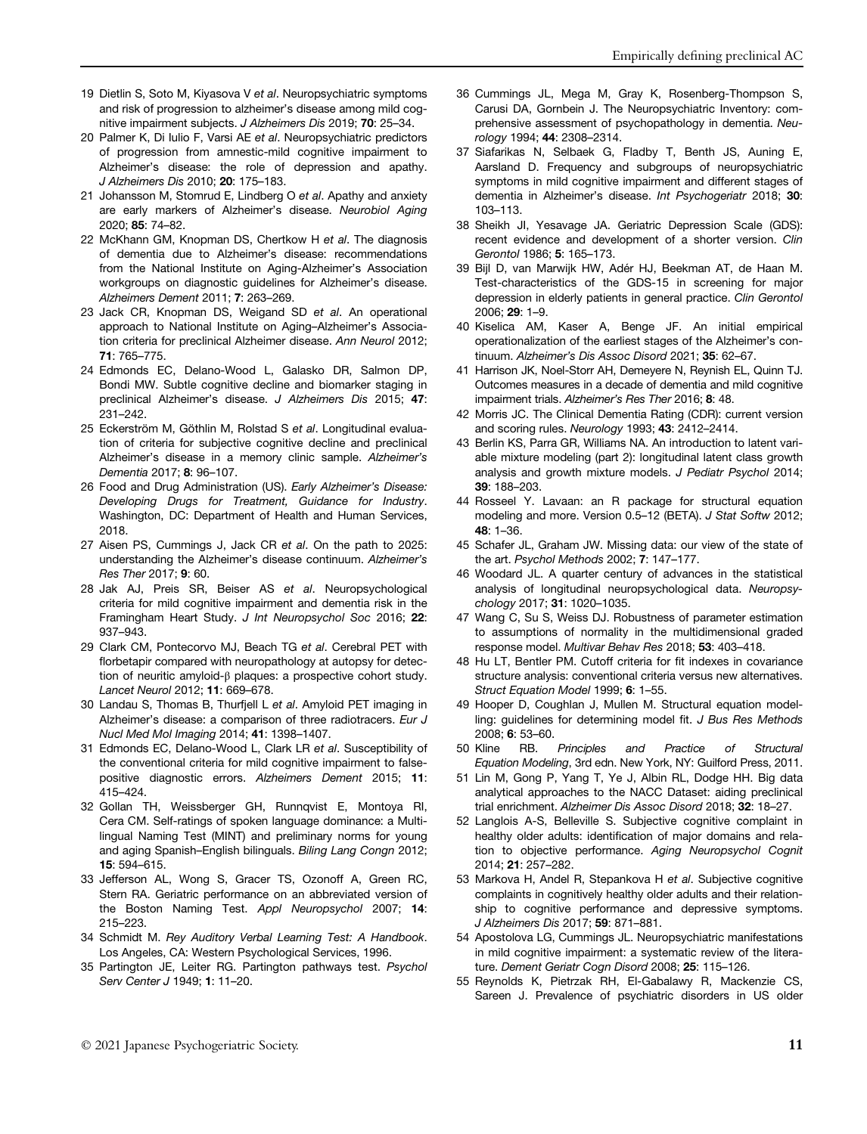- 19 Dietlin S, Soto M, Kiyasova V et al. Neuropsychiatric symptoms and risk of progression to alzheimer's disease among mild cognitive impairment subjects. J Alzheimers Dis 2019; 70: 25–34.
- 20 Palmer K, Di Iulio F, Varsi AE et al. Neuropsychiatric predictors of progression from amnestic-mild cognitive impairment to Alzheimer's disease: the role of depression and apathy. J Alzheimers Dis 2010; 20: 175–183.
- 21 Johansson M, Stomrud E, Lindberg O et al. Apathy and anxiety are early markers of Alzheimer's disease. Neurobiol Aging 2020; 85: 74–82.
- 22 McKhann GM, Knopman DS, Chertkow H et al. The diagnosis of dementia due to Alzheimer's disease: recommendations from the National Institute on Aging-Alzheimer's Association workgroups on diagnostic guidelines for Alzheimer's disease. Alzheimers Dement 2011; 7: 263–269.
- 23 Jack CR, Knopman DS, Weigand SD et al. An operational approach to National Institute on Aging–Alzheimer's Association criteria for preclinical Alzheimer disease. Ann Neurol 2012; 71: 765–775.
- 24 Edmonds EC, Delano-Wood L, Galasko DR, Salmon DP, Bondi MW. Subtle cognitive decline and biomarker staging in preclinical Alzheimer's disease. J Alzheimers Dis 2015; 47: 231–242.
- 25 Eckerström M, Göthlin M, Rolstad S et al. Longitudinal evaluation of criteria for subjective cognitive decline and preclinical Alzheimer's disease in a memory clinic sample. Alzheimer's Dementia 2017; 8: 96–107.
- 26 Food and Drug Administration (US). Early Alzheimer's Disease: Developing Drugs for Treatment, Guidance for Industry. Washington, DC: Department of Health and Human Services, 2018.
- 27 Aisen PS, Cummings J, Jack CR et al. On the path to 2025: understanding the Alzheimer's disease continuum. Alzheimer's Res Ther 2017; 9: 60.
- 28 Jak AJ, Preis SR, Beiser AS et al. Neuropsychological criteria for mild cognitive impairment and dementia risk in the Framingham Heart Study. J Int Neuropsychol Soc 2016; 22: 937–943.
- 29 Clark CM, Pontecorvo MJ, Beach TG et al. Cerebral PET with florbetapir compared with neuropathology at autopsy for detection of neuritic amyloid-β plaques: a prospective cohort study. Lancet Neurol 2012; 11: 669–678.
- 30 Landau S, Thomas B, Thurfjell L et al. Amyloid PET imaging in Alzheimer's disease: a comparison of three radiotracers. Eur J Nucl Med Mol Imaging 2014; 41: 1398–1407.
- 31 Edmonds EC, Delano-Wood L, Clark LR et al. Susceptibility of the conventional criteria for mild cognitive impairment to falsepositive diagnostic errors. Alzheimers Dement 2015; 11: 415–424.
- 32 Gollan TH, Weissberger GH, Runnqvist E, Montoya RI, Cera CM. Self-ratings of spoken language dominance: a Multilingual Naming Test (MINT) and preliminary norms for young and aging Spanish–English bilinguals. Biling Lang Congn 2012; 15: 594–615.
- 33 Jefferson AL, Wong S, Gracer TS, Ozonoff A, Green RC, Stern RA. Geriatric performance on an abbreviated version of the Boston Naming Test. Appl Neuropsychol 2007; 14: 215–223.
- 34 Schmidt M. Rey Auditory Verbal Learning Test: A Handbook. Los Angeles, CA: Western Psychological Services, 1996.
- 35 Partington JE, Leiter RG. Partington pathways test. Psychol Serv Center J 1949; 1: 11–20.
- 36 Cummings JL, Mega M, Gray K, Rosenberg-Thompson S, Carusi DA, Gornbein J. The Neuropsychiatric Inventory: comprehensive assessment of psychopathology in dementia. Neurology 1994; 44: 2308–2314.
- 37 Siafarikas N, Selbaek G, Fladby T, Benth JS, Auning E, Aarsland D. Frequency and subgroups of neuropsychiatric symptoms in mild cognitive impairment and different stages of dementia in Alzheimer's disease. Int Psychogeriatr 2018; 30: 103–113.
- 38 Sheikh JI, Yesavage JA. Geriatric Depression Scale (GDS): recent evidence and development of a shorter version. Clin Gerontol 1986; 5: 165–173.
- 39 Bijl D, van Marwijk HW, Adér HJ, Beekman AT, de Haan M. Test-characteristics of the GDS-15 in screening for major depression in elderly patients in general practice. Clin Gerontol 2006; 29: 1–9.
- 40 Kiselica AM, Kaser A, Benge JF. An initial empirical operationalization of the earliest stages of the Alzheimer's continuum. Alzheimer's Dis Assoc Disord 2021; 35: 62-67.
- 41 Harrison JK, Noel-Storr AH, Demeyere N, Reynish EL, Quinn TJ. Outcomes measures in a decade of dementia and mild cognitive impairment trials. Alzheimer's Res Ther 2016; 8: 48.
- 42 Morris JC. The Clinical Dementia Rating (CDR): current version and scoring rules. Neurology 1993; 43: 2412–2414.
- 43 Berlin KS, Parra GR, Williams NA. An introduction to latent variable mixture modeling (part 2): longitudinal latent class growth analysis and growth mixture models. J Pediatr Psychol 2014; 39: 188–203.
- 44 Rosseel Y. Lavaan: an R package for structural equation modeling and more. Version 0.5–12 (BETA). J Stat Softw 2012; 48: 1–36.
- 45 Schafer JL, Graham JW. Missing data: our view of the state of the art. Psychol Methods 2002; 7: 147–177.
- 46 Woodard JL. A quarter century of advances in the statistical analysis of longitudinal neuropsychological data. Neuropsychology 2017; 31: 1020–1035.
- 47 Wang C, Su S, Weiss DJ. Robustness of parameter estimation to assumptions of normality in the multidimensional graded response model. Multivar Behav Res 2018; 53: 403–418.
- 48 Hu LT, Bentler PM. Cutoff criteria for fit indexes in covariance structure analysis: conventional criteria versus new alternatives. Struct Equation Model 1999; 6: 1–55.
- 49 Hooper D, Coughlan J, Mullen M. Structural equation modelling: guidelines for determining model fit. J Bus Res Methods 2008; 6: 53–60.
- 50 Kline RB. Principles and Practice of Structural Equation Modeling, 3rd edn. New York, NY: Guilford Press, 2011.
- 51 Lin M, Gong P, Yang T, Ye J, Albin RL, Dodge HH. Big data analytical approaches to the NACC Dataset: aiding preclinical trial enrichment. Alzheimer Dis Assoc Disord 2018; 32: 18–27.
- 52 Langlois A-S, Belleville S. Subjective cognitive complaint in healthy older adults: identification of major domains and relation to objective performance. Aging Neuropsychol Cognit 2014; 21: 257–282.
- 53 Markova H, Andel R, Stepankova H et al. Subjective cognitive complaints in cognitively healthy older adults and their relationship to cognitive performance and depressive symptoms. J Alzheimers Dis 2017; 59: 871–881.
- 54 Apostolova LG, Cummings JL. Neuropsychiatric manifestations in mild cognitive impairment: a systematic review of the literature. Dement Geriatr Cogn Disord 2008; 25: 115-126.
- 55 Reynolds K, Pietrzak RH, El-Gabalawy R, Mackenzie CS, Sareen J. Prevalence of psychiatric disorders in US older